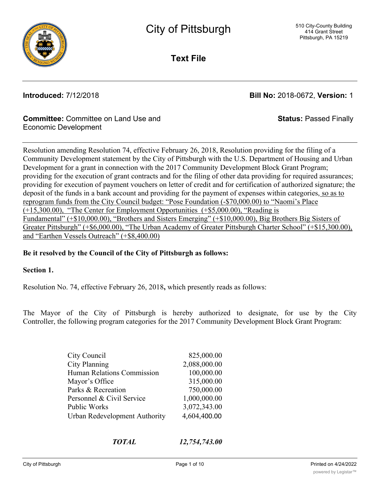

**Text File**

**Introduced:** 7/12/2018 **Bill No:** 2018-0672, **Version:** 1

**Status:** Passed Finally

## **Committee:** Committee on Land Use and Economic Development

Resolution amending Resolution 74, effective February 26, 2018, Resolution providing for the filing of a Community Development statement by the City of Pittsburgh with the U.S. Department of Housing and Urban Development for a grant in connection with the 2017 Community Development Block Grant Program; providing for the execution of grant contracts and for the filing of other data providing for required assurances; providing for execution of payment vouchers on letter of credit and for certification of authorized signature; the deposit of the funds in a bank account and providing for the payment of expenses within categories, so as to reprogram funds from the City Council budget: "Pose Foundation (-\$70,000.00) to "Naomi's Place (+15,300.00), "The Center for Employment Opportunities (+\$5,000.00), "Reading is Fundamental" (+\$10,000.00), "Brothers and Sisters Emerging" (+\$10,000.00), Big Brothers Big Sisters of Greater Pittsburgh" (+\$6,000.00), "The Urban Academy of Greater Pittsburgh Charter School" (+\$15,300.00), and "Earthen Vessels Outreach" (+\$8,400.00)

## **Be it resolved by the Council of the City of Pittsburgh as follows:**

## **Section 1.**

Resolution No. 74, effective February 26, 2018**,** which presently reads as follows:

The Mayor of the City of Pittsburgh is hereby authorized to designate, for use by the City Controller, the following program categories for the 2017 Community Development Block Grant Program:

| City Council                         | 825,000.00   |
|--------------------------------------|--------------|
| <b>City Planning</b>                 | 2,088,000.00 |
| <b>Human Relations Commission</b>    | 100,000.00   |
| Mayor's Office                       | 315,000.00   |
| Parks & Recreation                   | 750,000.00   |
| Personnel & Civil Service            | 1,000,000.00 |
| Public Works                         | 3,072,343.00 |
| <b>Urban Redevelopment Authority</b> | 4,604,400.00 |
|                                      |              |

*TOTAL 12,754,743.00*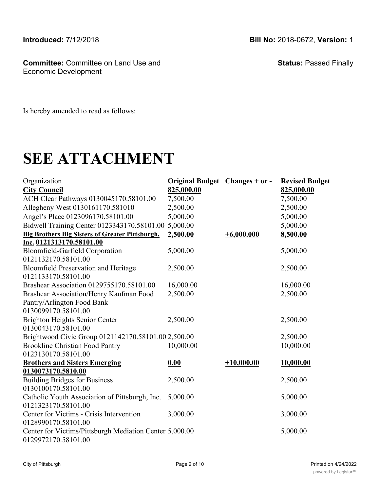**Committee:** Committee on Land Use and Economic Development

**Status:** Passed Finally

Is hereby amended to read as follows:

# **SEE ATTACHMENT**

| Organization<br><b>City Council</b>                     | Original Budget Changes + or -<br>825,000.00 |              | <b>Revised Budget</b><br>825,000.00 |
|---------------------------------------------------------|----------------------------------------------|--------------|-------------------------------------|
| ACH Clear Pathways 0130045170.58101.00                  | 7,500.00                                     |              | 7,500.00                            |
|                                                         |                                              |              |                                     |
| Allegheny West 0130161170.581010                        | 2,500.00                                     |              | 2,500.00                            |
| Angel's Place 0123096170.58101.00                       | 5,000.00                                     |              | 5,000.00                            |
| Bidwell Training Center 0123343170.58101.00 5,000.00    |                                              |              | 5,000.00                            |
| <b>Big Brothers Big Sisters of Greater Pittsburgh,</b>  | 2,500.00                                     | $+6,000.000$ | 8,500.00                            |
| Inc. 0121313170.58101.00                                |                                              |              |                                     |
| Bloomfield-Garfield Corporation                         | 5,000.00                                     |              | 5,000.00                            |
| 0121132170.58101.00                                     |                                              |              |                                     |
| <b>Bloomfield Preservation and Heritage</b>             | 2,500.00                                     |              | 2,500.00                            |
| 0121133170.58101.00                                     |                                              |              |                                     |
| Brashear Association 0129755170.58101.00                | 16,000.00                                    |              | 16,000.00                           |
| Brashear Association/Henry Kaufman Food                 | 2,500.00                                     |              | 2,500.00                            |
| Pantry/Arlington Food Bank                              |                                              |              |                                     |
| 0130099170.58101.00                                     |                                              |              |                                     |
| <b>Brighton Heights Senior Center</b>                   | 2,500.00                                     |              | 2,500.00                            |
| 0130043170.58101.00                                     |                                              |              |                                     |
| Brightwood Civic Group 0121142170.58101.00 2,500.00     |                                              |              | 2,500.00                            |
| <b>Brookline Christian Food Pantry</b>                  | 10,000.00                                    |              | 10,000.00                           |
| 0123130170.58101.00                                     |                                              |              |                                     |
| <b>Brothers and Sisters Emerging</b>                    | 0.00                                         | $+10,000.00$ | 10,000.00                           |
| 0130073170.5810.00                                      |                                              |              |                                     |
| <b>Building Bridges for Business</b>                    | 2,500.00                                     |              | 2,500.00                            |
| 0130100170.58101.00                                     |                                              |              |                                     |
| Catholic Youth Association of Pittsburgh, Inc.          | 5,000.00                                     |              | 5,000.00                            |
| 0121323170.58101.00                                     |                                              |              |                                     |
| Center for Victims - Crisis Intervention                | 3,000.00                                     |              | 3,000.00                            |
| 0128990170.58101.00                                     |                                              |              |                                     |
| Center for Victims/Pittsburgh Mediation Center 5,000.00 |                                              |              | 5,000.00                            |
| 0129972170.58101.00                                     |                                              |              |                                     |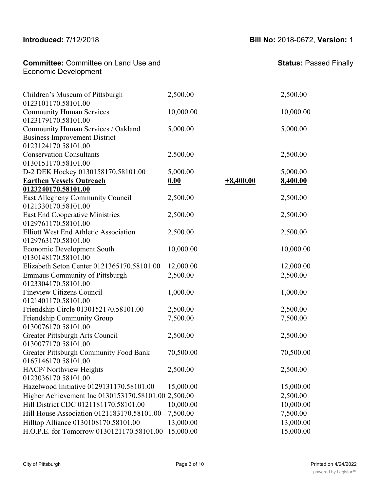#### 013140<br>00011120101811  $M$ Catholic Youth Association of Pittsburgh, Inc.

Building Bridges for Business

#### **Committee: Committee on Land Use and** Economic Development Center for Victims/Pittsburgh Mediation Center

2,500.00 2,500.00

| Children's Museum of Pittsburgh<br>0123101170.58101.00                                            | 2,500.00  |             | 2,500.00  |
|---------------------------------------------------------------------------------------------------|-----------|-------------|-----------|
| <b>Community Human Services</b><br>0123179170.58101.00                                            | 10,000.00 |             | 10,000.00 |
| Community Human Services / Oakland<br><b>Business Improvement District</b><br>0123124170.58101.00 | 5,000.00  |             | 5,000.00  |
| <b>Conservation Consultants</b><br>0130151170.58101.00                                            | 2.500.00  |             | 2,500.00  |
| D-2 DEK Hockey 0130158170.58101.00                                                                | 5,000.00  |             | 5,000.00  |
| <b>Earthen Vessels Outreach</b>                                                                   | 0.00      | $+8,400.00$ | 8,400.00  |
| 0123240170.58101.00                                                                               |           |             |           |
| East Allegheny Community Council<br>0121330170.58101.00                                           | 2,500.00  |             | 2,500.00  |
| <b>East End Cooperative Ministries</b><br>0129761170.58101.00                                     | 2,500.00  |             | 2,500.00  |
| <b>Elliott West End Athletic Association</b><br>0129763170.58101.00                               | 2,500.00  |             | 2,500.00  |
| <b>Economic Development South</b><br>0130148170.58101.00                                          | 10,000.00 |             | 10,000.00 |
| Elizabeth Seton Center 0121365170.58101.00                                                        | 12,000.00 |             | 12,000.00 |
| <b>Emmaus Community of Pittsburgh</b><br>0123304170.58101.00                                      | 2,500.00  |             | 2,500.00  |
| <b>Fineview Citizens Council</b><br>0121401170.58101.00                                           | 1,000.00  |             | 1,000.00  |
| Friendship Circle 0130152170.58101.00                                                             | 2,500.00  |             | 2,500.00  |
| Friendship Community Group<br>0130076170.58101.00                                                 | 7,500.00  |             | 7,500.00  |
| Greater Pittsburgh Arts Council<br>0130077170.58101.00                                            | 2,500.00  |             | 2,500.00  |
| <b>Greater Pittsburgh Community Food Bank</b><br>0167146170.58101.00                              | 70,500.00 |             | 70,500.00 |
| HACP/ Northview Heights<br>0123036170.58101.00                                                    | 2,500.00  |             | 2,500.00  |
| Hazelwood Initiative 0129131170.58101.00                                                          | 15,000.00 |             | 15,000.00 |
| Higher Achievement Inc 0130153170.58101.00 2,500.00                                               |           |             | 2,500.00  |
| Hill District CDC 0121181170.58101.00                                                             | 10,000.00 |             | 10,000.00 |
| Hill House Association 0121183170.58101.00                                                        | 7,500.00  |             | 7,500.00  |
| Hilltop Alliance 0130108170.58101.00                                                              | 13,000.00 |             | 13,000.00 |
| H.O.P.E. for Tomorrow 0130121170.58101.00                                                         | 15,000.00 |             | 15,000.00 |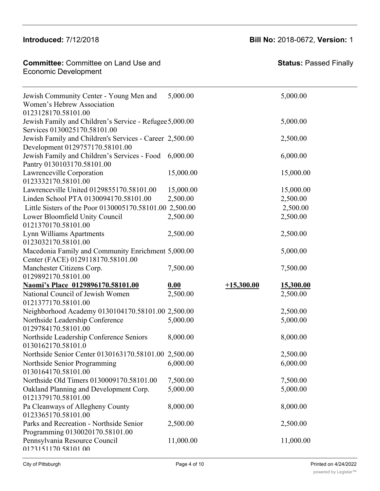#### 0123036170.<br>0123036170.58101.000  $\frac{1}{2}$  Introduced:  $\frac{1}{2}$  /12/2018

Hackberry Hart (1986)<br>Hackberry Heights Heights Heights Heights Heights Heights Heights Heights Heights Heights Heights Heights Heights<br>Heights Heights Heights Heights Heights Heights Heights Heights Heights Heights Height

**Committee:** Committee on Land Use and **Committee: Status:** P The committee of the contract of the contract of the contract of the contract of the contract of the contract of the contract of the contract of the contract of the contract of the contract of the contract of the contract Hilltop Alliance 0130108170.58101.00 13,000.00 13,000.00

## **Introduced:** 7/12/2018 **Bill No:** 2018-0672, **Version:** 1

2,500.00 2,500.00

| Jewish Community Center - Young Men and<br>Women's Hebrew Association<br>0123128170.58101.00 | 5,000.00  |              | 5,000.00  |
|----------------------------------------------------------------------------------------------|-----------|--------------|-----------|
| Jewish Family and Children's Service - Refugee 5,000.00<br>Services 0130025170.58101.00      |           |              | 5,000.00  |
| Jewish Family and Children's Services - Career 2,500.00<br>Development 0129757170.58101.00   |           |              | 2,500.00  |
| Jewish Family and Children's Services - Food<br>Pantry 0130103170.58101.00                   | 6,000.00  |              | 6,000.00  |
| Lawrenceville Corporation<br>0123332170.58101.00                                             | 15,000.00 |              | 15,000.00 |
| Lawrenceville United 0129855170.58101.00                                                     | 15,000.00 |              | 15,000.00 |
| Linden School PTA 0130094170.58101.00                                                        | 2,500.00  |              | 2,500.00  |
| Little Sisters of the Poor 0130005170.58101.00 2,500.00                                      |           |              | 2,500.00  |
| Lower Bloomfield Unity Council<br>0121370170.58101.00                                        | 2,500.00  |              | 2,500.00  |
| Lynn Williams Apartments<br>0123032170.58101.00                                              | 2,500.00  |              | 2,500.00  |
| Macedonia Family and Community Enrichment 5,000.00                                           |           |              | 5,000.00  |
| Center (FACE) 0129118170.58101.00                                                            |           |              |           |
| Manchester Citizens Corp.                                                                    | 7,500.00  |              | 7,500.00  |
| 0129892170.58101.00                                                                          |           |              |           |
| Naomi's Place 0129896170.58101.00                                                            | 0.00      | $+15,300.00$ | 15,300.00 |
| National Council of Jewish Women<br>0121377170.58101.00                                      | 2,500.00  |              | 2,500.00  |
| Neighborhood Academy 0130104170.58101.00 2,500.00                                            |           |              | 2,500.00  |
| Northside Leadership Conference<br>0129784170.58101.00                                       | 5,000.00  |              | 5,000.00  |
| Northside Leadership Conference Seniors<br>0130162170.58101.0                                | 8,000.00  |              | 8,000.00  |
| Northside Senior Center 0130163170.58101.00 2,500.00                                         |           |              | 2,500.00  |
| Northside Senior Programming 6,000.00<br>0130164170.58101.00                                 |           |              | 6,000.00  |
| Northside Old Timers 0130009170.58101.00                                                     | 7,500.00  |              | 7,500.00  |
| Oakland Planning and Development Corp.<br>0121379170.58101.00                                | 5,000.00  |              | 5,000.00  |
| Pa Cleanways of Allegheny County<br>0123365170.58101.00                                      | 8,000.00  |              | 8,000.00  |
| Parks and Recreation - Northside Senior<br>Programming 0130020170.58101.00                   | 2,500.00  |              | 2,500.00  |
| Pennsylvania Resource Council<br>0123151170 58101 00                                         | 11,000.00 |              | 11,000.00 |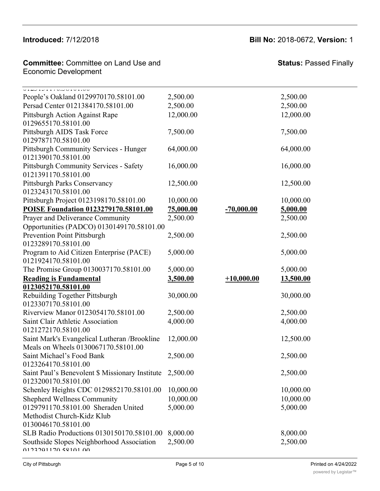#### $Introducing  $7/12/20$ .$ Parameters of Allegheny County County County County County County County County County County County County County County County County County County County County County County County County County County County County Co

#### **Introduced:** 7/12/2018 **Bill No:** 2018-0672, **Version:** 1  $8,000.000$  8,000.000  $8,000.000$  8,000.000  $8,000.000$

5,000.00 5,000.00

**Committee: Committee on Land Use and** Economic Development

Oakland Planning and Development Corp.

| <u>VILJIJIIIVOJULULIVU</u><br>People's Oakland 0129970170.58101.00                   | 2,500.00  |              | 2,500.00  |
|--------------------------------------------------------------------------------------|-----------|--------------|-----------|
| Persad Center 0121384170.58101.00                                                    | 2,500.00  |              | 2,500.00  |
| <b>Pittsburgh Action Against Rape</b><br>0129655170.58101.00                         | 12,000.00 |              | 12,000.00 |
| Pittsburgh AIDS Task Force<br>0129787170.58101.00                                    | 7,500.00  |              | 7,500.00  |
| Pittsburgh Community Services - Hunger<br>0121390170.58101.00                        | 64,000.00 |              | 64,000.00 |
| <b>Pittsburgh Community Services - Safety</b><br>0121391170.58101.00                 | 16,000.00 |              | 16,000.00 |
| <b>Pittsburgh Parks Conservancy</b><br>0123243170.58101.00                           | 12,500.00 |              | 12,500.00 |
| Pittsburgh Project 0123198170.58101.00                                               | 10,000.00 |              | 10,000.00 |
| POISE Foundation 0123279170.58101.00                                                 | 75,000.00 | $-70,000.00$ | 5,000.00  |
| Prayer and Deliverance Community<br>Opportunities (PADCO) 0130149170.58101.00        | 2,500.00  |              | 2,500.00  |
| <b>Prevention Point Pittsburgh</b><br>0123289170.58101.00                            | 2,500.00  |              | 2,500.00  |
| Program to Aid Citizen Enterprise (PACE)<br>0121924170.58101.00                      | 5,000.00  |              | 5,000.00  |
| The Promise Group 0130037170.58101.00                                                | 5,000.00  |              | 5,000.00  |
| <b>Reading is Fundamental</b>                                                        | 3,500.00  | $+10,000.00$ | 13,500.00 |
| 0123052170.58101.00                                                                  |           |              |           |
| Rebuilding Together Pittsburgh<br>0123307170.58101.00                                | 30,000.00 |              | 30,000.00 |
| Riverview Manor 0123054170.58101.00                                                  | 2,500.00  |              | 2,500.00  |
| Saint Clair Athletic Association<br>0121272170.58101.00                              | 4,000.00  |              | 4,000.00  |
| Saint Mark's Evangelical Lutheran / Brookline<br>Meals on Wheels 0130067170.58101.00 | 12,000.00 |              | 12,500.00 |
| Saint Michael's Food Bank<br>0123264170.58101.00                                     | 2,500.00  |              | 2,500.00  |
| Saint Paul's Benevolent \$ Missionary Institute<br>0123200170.58101.00               | 2,500.00  |              | 2,500.00  |
| Schenley Heights CDC 0129852170.58101.00                                             | 10,000.00 |              | 10,000.00 |
| <b>Shepherd Wellness Community</b>                                                   | 10,000.00 |              | 10,000.00 |
| 0129791170.58101.00 Sheraden United                                                  | 5,000.00  |              | 5,000.00  |
| Methodist Church-Kidz Klub<br>0130046170.58101.00                                    |           |              |           |
| SLB Radio Productions 0130150170.58101.00                                            | 8,000.00  |              | 8,000.00  |
| Southside Slopes Neighborhood Association<br>0122201170 58101 00                     | 2,500.00  |              | 2,500.00  |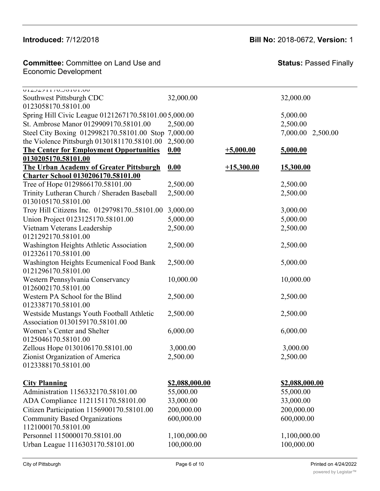**Committee:** Committee on Land Use and  $\blacksquare$ Economic Development **Committee: Commi** 

**Status:** Passed Finally

| VIZJZJII (V.JOIVI.VV<br>Southwest Pittsburgh CDC                             | 32,000.00             |              | 32,000.00             |
|------------------------------------------------------------------------------|-----------------------|--------------|-----------------------|
| 0123058170.58101.00                                                          |                       |              |                       |
| Spring Hill Civic League 0121267170.58101.005,000.00                         |                       |              | 5,000.00              |
| St. Ambrose Manor 0129909170.58101.00                                        | 2,500.00              |              | 2,500.00              |
| Steel City Boxing 0129982170.58101.00 Stop 7,000.00                          |                       |              | 7,000.00 2,500.00     |
| the Violence Pittsburgh 0130181170.58101.00                                  | 2,500.00              |              |                       |
| <b>The Center for Employment Opportunities</b>                               | 0.00                  | $+5,000.00$  | 5,000.00              |
| 0130205170.58101.00                                                          |                       |              |                       |
| <b>The Urban Academy of Greater Pittsburgh</b>                               | 0.00                  | $+15,300.00$ | 15,300.00             |
| <b>Charter School 0130206170.58101.00</b>                                    |                       |              |                       |
| Tree of Hope 0129866170.58101.00                                             | 2,500.00              |              | 2,500.00              |
| Trinity Lutheran Church / Sheraden Baseball<br>0130105170.58101.00           | 2,500.00              |              | 2,500.00              |
| Troy Hill Citizens Inc. 012979817058101.00                                   | 3,000.00              |              | 3,000.00              |
| Union Project 0123125170.58101.00                                            | 5,000.00              |              | 5,000.00              |
| Vietnam Veterans Leadership                                                  | 2,500.00              |              | 2,500.00              |
| 0121292170.58101.00                                                          |                       |              |                       |
| Washington Heights Athletic Association<br>0123261170.58101.00               | 2,500.00              |              | 2,500.00              |
| <b>Washington Heights Ecumenical Food Bank</b><br>0121296170.58101.00        | 2,500.00              |              | 5,000.00              |
| Western Pennsylvania Conservancy<br>0126002170.58101.00                      | 10,000.00             |              | 10,000.00             |
| Western PA School for the Blind<br>0123387170.58101.00                       | 2,500.00              |              | 2,500.00              |
| Westside Mustangs Youth Football Athletic<br>Association 0130159170.58101.00 | 2,500.00              |              | 2,500.00              |
| Women's Center and Shelter<br>0125046170.58101.00                            | 6,000.00              |              | 6,000.00              |
| Zellous Hope 0130106170.58101.00                                             | 3,000.00              |              | 3,000.00              |
| Zionist Organization of America                                              | 2,500.00              |              | 2,500.00              |
| 0123388170.58101.00                                                          |                       |              |                       |
| <b>City Planning</b>                                                         | <u>\$2,088,000.00</u> |              | <u>\$2,088,000.00</u> |
| Administration 1156332170.58101.00                                           | 55,000.00             |              | 55,000.00             |
| ADA Compliance 1121151170.58101.00                                           | 33,000.00             |              | 33,000.00             |
| Citizen Participation 1156900170.58101.00                                    | 200,000.00            |              | 200,000.00            |
| <b>Community Based Organizations</b>                                         | 600,000.00            |              | 600,000.00            |
| 1121000170.58101.00                                                          |                       |              |                       |
| Personnel 1150000170.58101.00                                                | 1,100,000.00          |              | 1,100,000.00          |
| Urban League 1116303170.58101.00                                             | 100,000.00            |              | 100,000.00            |

 $S_{\rm 2D}$  Heights  $C_{\rm 2D}$  and  $C_{\rm 2D}$   $C_{\rm 2D}$  10,000.000 10,000.000 10,000.000 10,000.000 10,000.000 10,000.000 10,000.000 10,000.000 10,000.000 10,000.000 10,000.000 10,000.000 10,000.000 10,000.000 10,000.000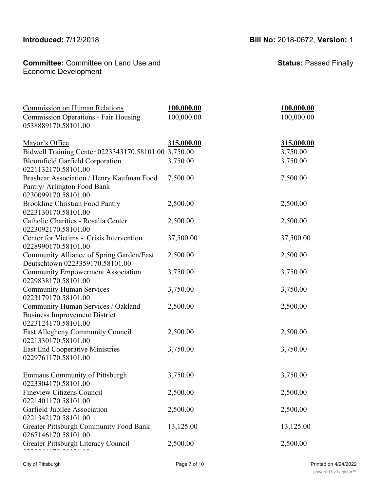#### **Introduced:** 7/12/2018 **Bill No:** 2018-0672, **Version:** 1 Citizen Participation 1156900170.58101.00 200,000.00 200,000.00

**Committee:** Committee on Land Use and  $\blacksquare$ Economic Development **Committee: Commi** 

**Status:** Passed Finally

| <b>Commission on Human Relations</b><br><b>Commission Operations - Fair Housing</b><br>0538889170.58101.00 | 100,000.00<br>100,000.00 | 100,000.00<br>100,000.00 |
|------------------------------------------------------------------------------------------------------------|--------------------------|--------------------------|
| Mayor's Office                                                                                             | 315,000.00               | 315,000.00               |
| Bidwell Training Center 0223343170.58101.00 3,750.00                                                       |                          | 3,750.00                 |
| <b>Bloomfield Garfield Corporation</b><br>0221132170.58101.00                                              | 3,750.00                 | 3,750.00                 |
| Brashear Association / Henry Kaufman Food<br>Pantry/ Arlington Food Bank<br>0230099170.58101.00            | 7,500.00                 | 7,500.00                 |
| <b>Brookline Christian Food Pantry</b><br>0223130170.58101.00                                              | 2,500.00                 | 2,500.00                 |
| Catholic Charities - Rosalia Center<br>0223092170.58101.00                                                 | 2,500.00                 | 2,500.00                 |
| Center for Victims - Crisis Intervention<br>0228990170.58101.00                                            | 37,500.00                | 37,500.00                |
| Community Alliance of Spring Garden/East<br>Deutschtown 0223359170.58101.00                                | 2,500.00                 | 2,500.00                 |
| <b>Community Empowerment Association</b><br>0229838170.58101.00                                            | 3,750.00                 | 3,750.00                 |
| <b>Community Human Services</b>                                                                            | 3,750.00                 | 3,750.00                 |
| 0223179170.58101.00                                                                                        |                          |                          |
| Community Human Services / Oakland<br><b>Business Improvement District</b><br>0223124170.58101.00          | 2,500.00                 | 2,500.00                 |
| East Allegheny Community Council<br>0221330170.58101.00                                                    | 2,500.00                 | 2,500.00                 |
| <b>East End Cooperative Ministries</b><br>0229761170.58101.00                                              | 3,750.00                 | 3,750.00                 |
| <b>Emmaus Community of Pittsburgh</b><br>0223304170.58101.00                                               | 3,750.00                 | 3,750.00                 |
| <b>Fineview Citizens Council</b><br>0221401170.58101.00                                                    | 2,500.00                 | 2,500.00                 |
| Garfield Jubilee Association<br>0221342170.58101.00                                                        | 2,500.00                 | 2,500.00                 |
| Greater Pittsburgh Community Food Bank<br>0267146170.58101.00                                              | 13,125.00                | 13,125.00                |
| Greater Pittsburgh Literacy Council                                                                        | 2,500.00                 | 2,500.00                 |

Administration 1156332170.58101.00 55,000.00 55,000.00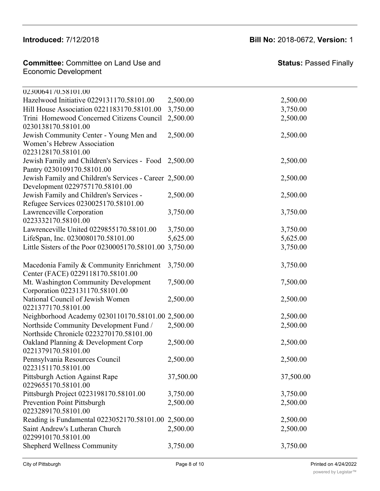0223304170.58101.00

 $\overline{a}$   $\overline{a}$   $\overline{a}$ 

## **Introduced:** 7/12/2018 **Bill No:** 2018-0672, **Version:** 1

| <b>Committee: Committee on Land Use and</b><br><b>Economic Development</b>   |           | <b>Status: Passed Finally</b> |
|------------------------------------------------------------------------------|-----------|-------------------------------|
| 0230064170.58101.00                                                          |           |                               |
| Hazelwood Initiative 0229131170.58101.00                                     | 2,500.00  | 2,500.00                      |
| Hill House Association 0221183170.58101.00                                   | 3,750.00  | 3,750.00                      |
| Trini Homewood Concerned Citizens Council                                    | 2,500.00  | 2,500.00                      |
| 0230138170.58101.00                                                          |           |                               |
| Jewish Community Center - Young Men and                                      | 2,500.00  | 2,500.00                      |
| Women's Hebrew Association                                                   |           |                               |
| 0223128170.58101.00                                                          |           |                               |
| Jewish Family and Children's Services - Food 2,500.00                        |           | 2,500.00                      |
| Pantry 0230109170.58101.00                                                   |           |                               |
| Jewish Family and Children's Services - Career 2,500.00                      |           | 2,500.00                      |
| Development 0229757170.58101.00                                              |           |                               |
| Jewish Family and Children's Services -                                      | 2,500.00  | 2,500.00                      |
| Refugee Services 0230025170.58101.00                                         |           |                               |
| Lawrenceville Corporation                                                    | 3,750.00  | 3,750.00                      |
| 0223332170.58101.00                                                          |           |                               |
| Lawrenceville United 0229855170.58101.00                                     | 3,750.00  | 3,750.00                      |
| LifeSpan, Inc. 0230080170.58101.00                                           | 5,625.00  | 5,625.00                      |
| Little Sisters of the Poor 0230005170.58101.00 3,750.00                      |           | 3,750.00                      |
| Macedonia Family & Community Enrichment<br>Center (FACE) 0229118170.58101.00 | 3,750.00  | 3,750.00                      |
| Mt. Washington Community Development                                         | 7,500.00  | 7,500.00                      |
| Corporation 0223131170.58101.00                                              |           |                               |
| National Council of Jewish Women                                             | 2,500.00  | 2,500.00                      |
| 0221377170.58101.00                                                          |           |                               |
| Neighborhood Academy 0230110170.58101.00 2,500.00                            |           | 2,500.00                      |
| Northside Community Development Fund /                                       | 2,500.00  | 2,500.00                      |
| Northside Chronicle 0223270170.58101.00                                      |           |                               |
| Oakland Planning & Development Corp                                          | 2,500.00  | 2,500.00                      |
| 0221379170.58101.00                                                          |           |                               |
| Pennsylvania Resources Council                                               | 2,500.00  | 2,500.00                      |
| 0223151170.58101.00                                                          |           |                               |
| Pittsburgh Action Against Rape                                               | 37,500.00 | 37,500.00                     |
| 0229655170.58101.00                                                          |           |                               |
| Pittsburgh Project 0223198170.58101.00                                       | 3,750.00  | 3,750.00                      |
| <b>Prevention Point Pittsburgh</b>                                           | 2,500.00  | 2,500.00                      |
| 0223289170.58101.00                                                          |           |                               |
| Reading is Fundamental 0223052170.58101.00 2,500.00                          |           | 2,500.00                      |
| Saint Andrew's Lutheran Church                                               | 2,500.00  | 2,500.00                      |
| 0229910170.58101.00                                                          |           |                               |
| Shepherd Wellness Community                                                  | 3,750.00  | 3,750.00                      |
|                                                                              |           |                               |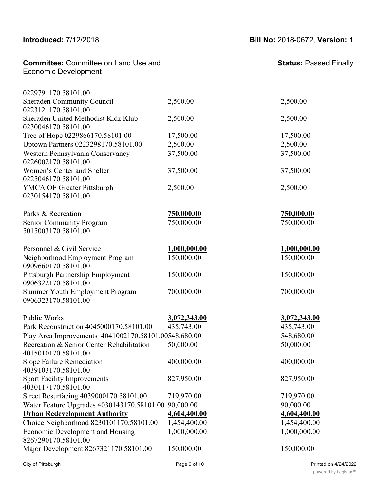0229655170.58101.00

### **Committee:** Committee on Land Use and **Committee: Status:** Fundamental 0223052170.58101.00 2,500.00 2,500.00 2,500.00 2,500.00 2,500.00 2,500.00 2,500.00 2,500.00 2,500.00 2,500.00 2,500.00 2,500.00 2,500.00 2,500.00 2, **Committee:** Committee on La<br>Economic Development Leonomic Developm

| 0229791170.58101.00                                              |              |              |
|------------------------------------------------------------------|--------------|--------------|
| Sheraden Community Council                                       | 2,500.00     | 2,500.00     |
| 0223121170.58101.00                                              |              |              |
| Sheraden United Methodist Kidz Klub<br>0230046170.58101.00       | 2,500.00     | 2,500.00     |
| Tree of Hope 0229866170.58101.00                                 | 17,500.00    | 17,500.00    |
| Uptown Partners 0223298170.58101.00                              | 2,500.00     | 2,500.00     |
| Western Pennsylvania Conservancy                                 | 37,500.00    | 37,500.00    |
| 0226002170.58101.00                                              |              |              |
| Women's Center and Shelter                                       | 37,500.00    | 37,500.00    |
| 0225046170.58101.00                                              |              |              |
| <b>YMCA OF Greater Pittsburgh</b>                                | 2,500.00     | 2,500.00     |
| 0230154170.58101.00                                              |              |              |
| Parks & Recreation                                               | 750,000.00   | 750,000.00   |
| Senior Community Program                                         | 750,000.00   | 750,000.00   |
| 5015003170.58101.00                                              |              |              |
| Personnel & Civil Service                                        | 1,000,000.00 | 1,000,000.00 |
| Neighborhood Employment Program                                  | 150,000.00   | 150,000.00   |
| 0909660170.58101.00                                              |              |              |
| Pittsburgh Partnership Employment                                | 150,000.00   | 150,000.00   |
| 0906322170.58101.00                                              |              |              |
| Summer Youth Employment Program                                  | 700,000.00   | 700,000.00   |
| 0906323170.58101.00                                              |              |              |
| Public Works                                                     | 3,072,343.00 | 3,072,343.00 |
| Park Reconstruction 4045000170.58101.00                          | 435,743.00   | 435,743.00   |
| Play Area Improvements 4041002170.58101.00548,680.00             |              | 548,680.00   |
| Recreation & Senior Center Rehabilitation<br>4015010170.58101.00 | 50,000.00    | 50,000.00    |
| Slope Failure Remediation                                        | 400,000.00   | 400,000.00   |
| 4039103170.58101.00                                              |              |              |
| <b>Sport Facility Improvements</b>                               | 827,950.00   | 827,950.00   |
| 4030117170.58101.00                                              |              |              |
| Street Resurfacing 4039000170.58101.00                           | 719,970.00   | 719,970.00   |
| Water Feature Upgrades 4030143170.58101.00                       | 90,000.00    | 90,000.00    |
| <b>Urban Redevelopment Authority</b>                             | 4,604,400.00 | 4,604,400.00 |
| Choice Neighborhood 8230101170.58101.00                          | 1,454,400.00 | 1,454,400.00 |
| <b>Economic Development and Housing</b>                          | 1,000,000.00 | 1,000,000.00 |
| 8267290170.58101.00                                              |              |              |
| Major Development 8267321170.58101.00                            | 150,000.00   | 150,000.00   |
|                                                                  |              |              |